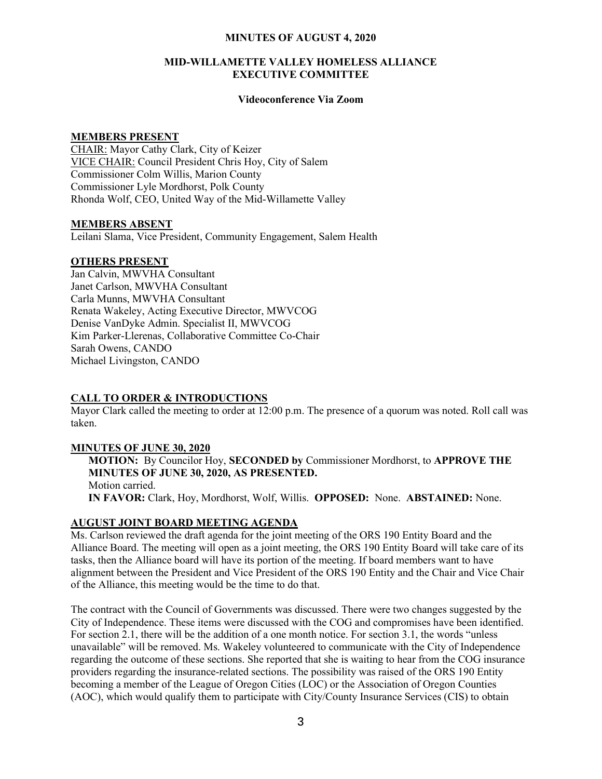#### MINUTES OF AUGUST 4, 2020

## MID-WILLAMETTE VALLEY HOMELESS ALLIANCE EXECUTIVE COMMITTEE

## Videoconference Via Zoom

#### MEMBERS PRESENT

CHAIR: Mayor Cathy Clark, City of Keizer VICE CHAIR: Council President Chris Hoy, City of Salem Commissioner Colm Willis, Marion County Commissioner Lyle Mordhorst, Polk County Rhonda Wolf, CEO, United Way of the Mid-Willamette Valley

## MEMBERS ABSENT

Leilani Slama, Vice President, Community Engagement, Salem Health

## OTHERS PRESENT

Jan Calvin, MWVHA Consultant Janet Carlson, MWVHA Consultant Carla Munns, MWVHA Consultant Renata Wakeley, Acting Executive Director, MWVCOG Denise VanDyke Admin. Specialist II, MWVCOG Kim Parker-Llerenas, Collaborative Committee Co-Chair Sarah Owens, CANDO Michael Livingston, CANDO

# CALL TO ORDER & INTRODUCTIONS

Mayor Clark called the meeting to order at 12:00 p.m. The presence of a quorum was noted. Roll call was taken.

#### MINUTES OF JUNE 30, 2020

MOTION: By Councilor Hoy, SECONDED by Commissioner Mordhorst, to APPROVE THE MINUTES OF JUNE 30, 2020, AS PRESENTED. Motion carried. IN FAVOR: Clark, Hoy, Mordhorst, Wolf, Willis. OPPOSED: None. ABSTAINED: None.

# AUGUST JOINT BOARD MEETING AGENDA

Ms. Carlson reviewed the draft agenda for the joint meeting of the ORS 190 Entity Board and the Alliance Board. The meeting will open as a joint meeting, the ORS 190 Entity Board will take care of its tasks, then the Alliance board will have its portion of the meeting. If board members want to have alignment between the President and Vice President of the ORS 190 Entity and the Chair and Vice Chair of the Alliance, this meeting would be the time to do that.

The contract with the Council of Governments was discussed. There were two changes suggested by the City of Independence. These items were discussed with the COG and compromises have been identified. For section 2.1, there will be the addition of a one month notice. For section 3.1, the words "unless unavailable" will be removed. Ms. Wakeley volunteered to communicate with the City of Independence regarding the outcome of these sections. She reported that she is waiting to hear from the COG insurance providers regarding the insurance-related sections. The possibility was raised of the ORS 190 Entity becoming a member of the League of Oregon Cities (LOC) or the Association of Oregon Counties (AOC), which would qualify them to participate with City/County Insurance Services (CIS) to obtain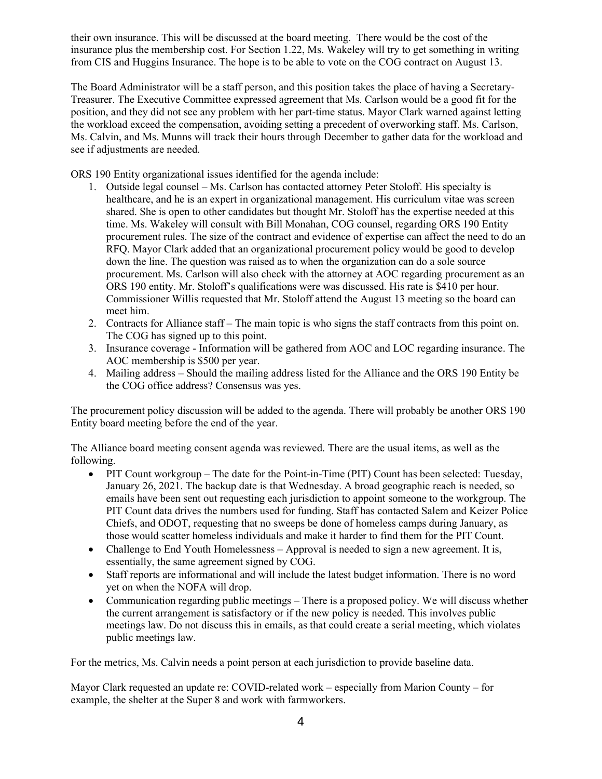their own insurance. This will be discussed at the board meeting. There would be the cost of the insurance plus the membership cost. For Section 1.22, Ms. Wakeley will try to get something in writing from CIS and Huggins Insurance. The hope is to be able to vote on the COG contract on August 13.

The Board Administrator will be a staff person, and this position takes the place of having a Secretary-Treasurer. The Executive Committee expressed agreement that Ms. Carlson would be a good fit for the position, and they did not see any problem with her part-time status. Mayor Clark warned against letting the workload exceed the compensation, avoiding setting a precedent of overworking staff. Ms. Carlson, Ms. Calvin, and Ms. Munns will track their hours through December to gather data for the workload and see if adjustments are needed.

ORS 190 Entity organizational issues identified for the agenda include:

- 1. Outside legal counsel Ms. Carlson has contacted attorney Peter Stoloff. His specialty is healthcare, and he is an expert in organizational management. His curriculum vitae was screen shared. She is open to other candidates but thought Mr. Stoloff has the expertise needed at this time. Ms. Wakeley will consult with Bill Monahan, COG counsel, regarding ORS 190 Entity procurement rules. The size of the contract and evidence of expertise can affect the need to do an RFQ. Mayor Clark added that an organizational procurement policy would be good to develop down the line. The question was raised as to when the organization can do a sole source procurement. Ms. Carlson will also check with the attorney at AOC regarding procurement as an ORS 190 entity. Mr. Stoloff's qualifications were was discussed. His rate is \$410 per hour. Commissioner Willis requested that Mr. Stoloff attend the August 13 meeting so the board can meet him.
- 2. Contracts for Alliance staff The main topic is who signs the staff contracts from this point on. The COG has signed up to this point.
- 3. Insurance coverage Information will be gathered from AOC and LOC regarding insurance. The AOC membership is \$500 per year.
- 4. Mailing address Should the mailing address listed for the Alliance and the ORS 190 Entity be the COG office address? Consensus was yes.

The procurement policy discussion will be added to the agenda. There will probably be another ORS 190 Entity board meeting before the end of the year.

The Alliance board meeting consent agenda was reviewed. There are the usual items, as well as the following.

- PIT Count workgroup The date for the Point-in-Time (PIT) Count has been selected: Tuesday, January 26, 2021. The backup date is that Wednesday. A broad geographic reach is needed, so emails have been sent out requesting each jurisdiction to appoint someone to the workgroup. The PIT Count data drives the numbers used for funding. Staff has contacted Salem and Keizer Police Chiefs, and ODOT, requesting that no sweeps be done of homeless camps during January, as those would scatter homeless individuals and make it harder to find them for the PIT Count.
- Challenge to End Youth Homelessness Approval is needed to sign a new agreement. It is, essentially, the same agreement signed by COG.
- Staff reports are informational and will include the latest budget information. There is no word yet on when the NOFA will drop.
- Communication regarding public meetings There is a proposed policy. We will discuss whether the current arrangement is satisfactory or if the new policy is needed. This involves public meetings law. Do not discuss this in emails, as that could create a serial meeting, which violates public meetings law.

For the metrics, Ms. Calvin needs a point person at each jurisdiction to provide baseline data.

Mayor Clark requested an update re: COVID-related work – especially from Marion County – for example, the shelter at the Super 8 and work with farmworkers.